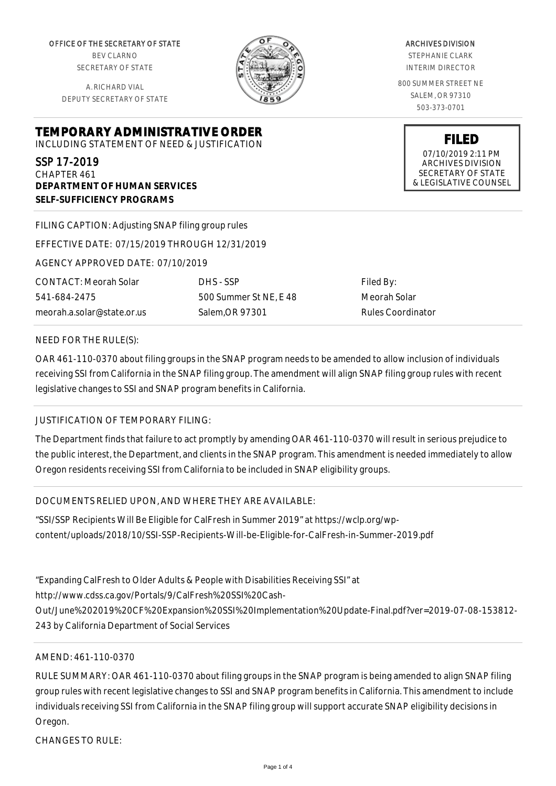OFFICE OF THE SECRETARY OF STATE BEV CLARNO SECRETARY OF STATE

A. RICHARD VIAL DEPUTY SECRETARY OF STATE



### ARCHIVES DIVISION

STEPHANIE CLARK INTERIM DIRECTOR

800 SUMMER STREET NE SALEM, OR 97310 503-373-0701

> **FILED** 07/10/2019 2:11 PM ARCHIVES DIVISION SECRETARY OF STATE & LEGISLATIVE COUNSEL

SSP 17-2019 CHAPTER 461 **DEPARTMENT OF HUMAN SERVICES SELF-SUFFICIENCY PROGRAMS**

FILING CAPTION: Adjusting SNAP filing group rules

**TEMPORARY ADMINISTRATIVE ORDER** INCLUDING STATEMENT OF NEED & JUSTIFICATION

EFFECTIVE DATE: 07/15/2019 THROUGH 12/31/2019

AGENCY APPROVED DATE: 07/10/2019

CONTACT: Meorah Solar 541-684-2475 meorah.a.solar@state.or.us DHS - SSP 500 Summer St NE, E 48 Salem,OR 97301

Filed By: Meorah Solar Rules Coordinator

### NEED FOR THE RULE(S):

OAR 461-110-0370 about filing groups in the SNAP program needs to be amended to allow inclusion of individuals receiving SSI from California in the SNAP filing group. The amendment will align SNAP filing group rules with recent legislative changes to SSI and SNAP program benefits in California.

# JUSTIFICATION OF TEMPORARY FILING:

The Department finds that failure to act promptly by amending OAR 461-110-0370 will result in serious prejudice to the public interest, the Department, and clients in the SNAP program. This amendment is needed immediately to allow Oregon residents receiving SSI from California to be included in SNAP eligibility groups.

# DOCUMENTS RELIED UPON, AND WHERE THEY ARE AVAILABLE:

"SSI/SSP Recipients Will Be Eligible for CalFresh in Summer 2019" at https://wclp.org/wpcontent/uploads/2018/10/SSI-SSP-Recipients-Will-be-Eligible-for-CalFresh-in-Summer-2019.pdf

"Expanding CalFresh to Older Adults & People with Disabilities Receiving SSI" at http://www.cdss.ca.gov/Portals/9/CalFresh%20SSI%20Cash-Out/June%202019%20CF%20Expansion%20SSI%20Implementation%20Update-Final.pdf?ver=2019-07-08-153812- 243 by California Department of Social Services

# AMEND: 461-110-0370

RULE SUMMARY: OAR 461-110-0370 about filing groups in the SNAP program is being amended to align SNAP filing group rules with recent legislative changes to SSI and SNAP program benefits in California. This amendment to include individuals receiving SSI from California in the SNAP filing group will support accurate SNAP eligibility decisions in Oregon.

CHANGES TO RULE: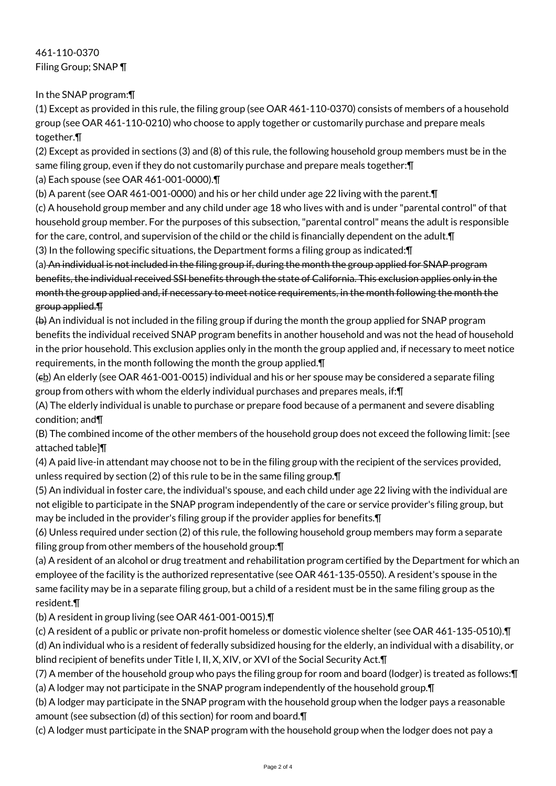461-110-0370 Filing Group; SNAP ¶

In the SNAP program:¶

(1) Except as provided in this rule, the filing group (see OAR 461-110-0370) consists of members of a household group (see OAR 461-110-0210) who choose to apply together or customarily purchase and prepare meals together.¶

(2) Except as provided in sections (3) and (8) of this rule, the following household group members must be in the same filing group, even if they do not customarily purchase and prepare meals together:¶ (a) Each spouse (see OAR 461-001-0000).¶

(b) A parent (see OAR 461-001-0000) and his or her child under age 22 living with the parent.¶

(c) A household group member and any child under age 18 who lives with and is under "parental control" of that household group member. For the purposes of this subsection, "parental control" means the adult is responsible for the care, control, and supervision of the child or the child is financially dependent on the adult. In

(3) In the following specific situations, the Department forms a filing group as indicated:¶

(a) An individual is not included in the filing group if, during the month the group applied for SNAP program benefits, the individual received SSI benefits through the state of California. This exclusion applies only in the month the group applied and, if necessary to meet notice requirements, in the month following the month the group applied.¶

(b) An individual is not included in the filing group if during the month the group applied for SNAP program benefits the individual received SNAP program benefits in another household and was not the head of household in the prior household. This exclusion applies only in the month the group applied and, if necessary to meet notice requirements, in the month following the month the group applied.¶

 $(e<sub>b</sub>)$  An elderly (see OAR 461-001-0015) individual and his or her spouse may be considered a separate filing group from others with whom the elderly individual purchases and prepares meals, if:¶

(A) The elderly individual is unable to purchase or prepare food because of a permanent and severe disabling condition; and¶

(B) The combined income of the other members of the household group does not exceed the following limit: [see attached table]¶

(4) A paid live-in attendant may choose not to be in the filing group with the recipient of the services provided, unless required by section (2) of this rule to be in the same filing group.¶

(5) An individual in foster care, the individual's spouse, and each child under age 22 living with the individual are not eligible to participate in the SNAP program independently of the care or service provider's filing group, but may be included in the provider's filing group if the provider applies for benefits.¶

(6) Unless required under section (2) of this rule, the following household group members may form a separate filing group from other members of the household group:¶

(a) A resident of an alcohol or drug treatment and rehabilitation program certified by the Department for which an employee of the facility is the authorized representative (see OAR 461-135-0550). A resident's spouse in the same facility may be in a separate filing group, but a child of a resident must be in the same filing group as the resident.¶

(b) A resident in group living (see OAR 461-001-0015).¶

(c) A resident of a public or private non-profit homeless or domestic violence shelter (see OAR 461-135-0510).¶ (d) An individual who is a resident of federally subsidized housing for the elderly, an individual with a disability, or blind recipient of benefits under Title I, II, X, XIV, or XVI of the Social Security Act.¶

(7) A member of the household group who pays the filing group for room and board (lodger) is treated as follows:¶

(a) A lodger may not participate in the SNAP program independently of the household group.¶

(b) A lodger may participate in the SNAP program with the household group when the lodger pays a reasonable amount (see subsection (d) of this section) for room and board.¶

(c) A lodger must participate in the SNAP program with the household group when the lodger does not pay a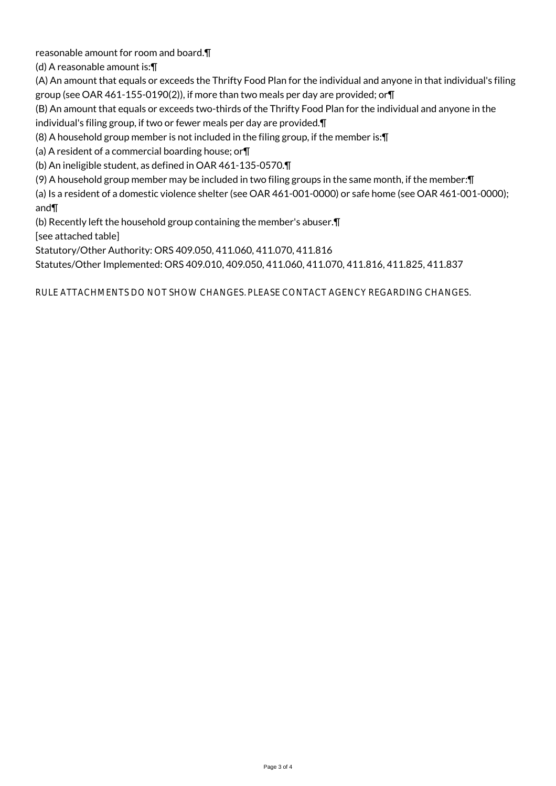reasonable amount for room and board.¶

(d) A reasonable amount is:¶

(A) An amount that equals or exceeds the Thrifty Food Plan for the individual and anyone in that individual's filing group (see OAR 461-155-0190(2)), if more than two meals per day are provided; or¶

(B) An amount that equals or exceeds two-thirds of the Thrifty Food Plan for the individual and anyone in the individual's filing group, if two or fewer meals per day are provided.¶

(8) A household group member is not included in the filing group, if the member is:¶

(a) A resident of a commercial boarding house; or¶

(b) An ineligible student, as defined in OAR 461-135-0570.¶

(9) A household group member may be included in two filing groups in the same month, if the member:¶

(a) Is a resident of a domestic violence shelter (see OAR 461-001-0000) or safe home (see OAR 461-001-0000); and¶

(b) Recently left the household group containing the member's abuser.¶

[see attached table]

Statutory/Other Authority: ORS 409.050, 411.060, 411.070, 411.816

Statutes/Other Implemented: ORS 409.010, 409.050, 411.060, 411.070, 411.816, 411.825, 411.837

RULE ATTACHMENTS DO NOT SHOW CHANGES. PLEASE CONTACT AGENCY REGARDING CHANGES.